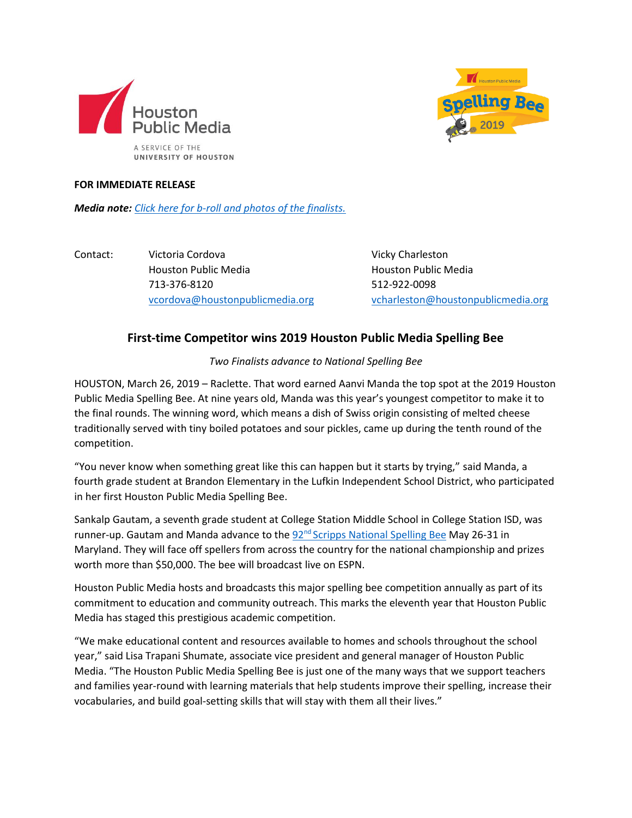



## **FOR IMMEDIATE RELEASE**

*Media note: [Click here for b-roll and photos of the finalists.](https://www.dropbox.com/sh/657ekc6nvztlozp/AADo5rwo5KFX2bqs8_KOVU9na?dl=0)*

Contact: Victoria Cordova Vicky Charleston Houston Public Media Houston Public Media 713-376-8120 512-922-0098

[vcordova@houstonpublicmedia.org](mailto:vcordova@houstonpublicmedia.org) [vcharleston@houstonpublicmedia.org](mailto:vcharleston@houstonpublicmedia.org)

## **First-time Competitor wins 2019 Houston Public Media Spelling Bee**

*Two Finalists advance to National Spelling Bee*

HOUSTON, March 26, 2019 – Raclette. That word earned Aanvi Manda the top spot at the 2019 Houston Public Media Spelling Bee. At nine years old, Manda was this year's youngest competitor to make it to the final rounds. The winning word, which means a dish of Swiss origin consisting of melted cheese traditionally served with tiny boiled potatoes and sour pickles, came up during the tenth round of the competition.

"You never know when something great like this can happen but it starts by trying," said Manda, a fourth grade student at Brandon Elementary in the Lufkin Independent School District, who participated in her first Houston Public Media Spelling Bee.

Sankalp Gautam, a seventh grade student at College Station Middle School in College Station ISD, was runner-up. Gautam and Manda advance to the  $92<sup>nd</sup>$  [Scripps National](http://spellingbee.com/) Spelling Bee May 26-31 in Maryland. They will face off spellers from across the country for the national championship and prizes worth more than \$50,000. The bee will broadcast live on ESPN.

Houston Public Media hosts and broadcasts this major spelling bee competition annually as part of its commitment to education and community outreach. This marks the eleventh year that Houston Public Media has staged this prestigious academic competition.

"We make educational content and resources available to homes and schools throughout the school year," said Lisa Trapani Shumate, associate vice president and general manager of Houston Public Media. "The Houston Public Media Spelling Bee is just one of the many ways that we support teachers and families year-round with learning materials that help students improve their spelling, increase their vocabularies, and build goal-setting skills that will stay with them all their lives."